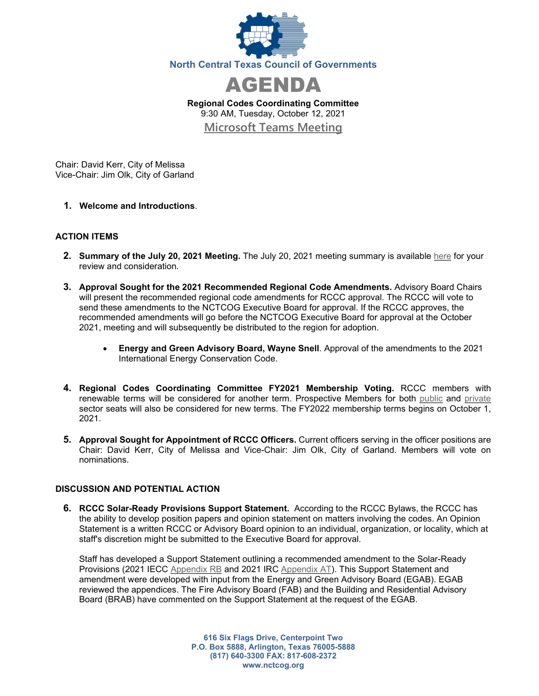



**Regional Codes Coordinating Committee** 9:30 AM, Tuesday, October 12, 2021 **[Microsoft Teams Meeting](https://nam12.safelinks.protection.outlook.com/ap/t-59584e83/?url=https%3A%2F%2Fteams.microsoft.com%2Fl%2Fmeetup-join%2F19%253ameeting_Y2VkMzcyYTktOWU0ZS00MDM1LWI1MjEtNmFmZWYxOTI1NDBm%2540thread.v2%2F0%3Fcontext%3D%257b%2522Tid%2522%253a%25222f5e7ebc-22b0-4fbe-934c-aabddb4e29b1%2522%252c%2522Oid%2522%253a%2522cab28b78-d671-4384-9c8e-6035f7c46b7d%2522%257d&data=04%7C01%7CCHorner%40nctcog.org%7Cc2bc0e5c7e6d44a2569608d972cd69a6%7C2f5e7ebc22b04fbe934caabddb4e29b1%7C0%7C0%7C637667048873364255%7CUnknown%7CTWFpbGZsb3d8eyJWIjoiMC4wLjAwMDAiLCJQIjoiV2luMzIiLCJBTiI6Ik1haWwiLCJXVCI6Mn0%3D%7C1000&sdata=EtESMcTAB%2FzDvZc4TwkgA5c3zA8Tv3BEeKyfsGnZJNk%3D&reserved=0)**

Chair: David Kerr, City of Melissa Vice-Chair: Jim Olk, City of Garland

**1. Welcome and Introductions**.

## **ACTION ITEMS**

- **2. Summary of the July 20, 2021 Meeting.** The July 20, 2021 meeting summary is available [here](https://www.nctcog.org/nctcg/media/Environment-and-Development/Committee%20Documents/RCCC/FY2021/Summary-and-attendance_1.pdf?ext=.pdf) for your review and consideration.
- **3. Approval Sought for the 2021 Recommended Regional Code Amendments.** Advisory Board Chairs will present the recommended regional code amendments for RCCC approval. The RCCC will vote to send these amendments to the NCTCOG Executive Board for approval. If the RCCC approves, the recommended amendments will go before the NCTCOG Executive Board for approval at the October 2021, meeting and will subsequently be distributed to the region for adoption.
	- **Energy and Green Advisory Board, Wayne Snell**. Approval of the amendments to the 2021 International Energy Conservation Code.
- **4. Regional Codes Coordinating Committee FY2021 Membership Voting.** RCCC members with renewable terms will be considered for another term. Prospective Members for both [public](https://kentico-admin.nctcog.org/getmedia/88fe424c-a241-4542-b784-a5b9e2c86788/Public-Sector-nominees.pdf.aspx) and [private](https://kentico-admin.nctcog.org/getmedia/5ca7c250-3280-4527-9689-b26f6826f782/Private-Sector-nominees.pdf.aspx) sector seats will also be considered for new terms. The FY2022 membership terms begins on October 1, 2021.
- **5. Approval Sought for Appointment of RCCC Officers.** Current officers serving in the officer positions are Chair: David Kerr, City of Melissa and Vice-Chair: Jim Olk, City of Garland. Members will vote on nominations.

## **DISCUSSION AND POTENTIAL ACTION**

**6. RCCC Solar-Ready Provisions Support Statement.** According to the RCCC Bylaws, the RCCC has the ability to develop position papers and opinion statement on matters involving the codes. An Opinion Statement is a written RCCC or Advisory Board opinion to an individual, organization, or locality, which at staff's discretion might be submitted to the Executive Board for approval.

Staff has developed a Support Statement outlining a recommended amendment to the Solar-Ready Provisions (2021 IECC [Appendix RB](https://codes.iccsafe.org/content/IECC2021P1/appendix-rb-solar-ready-provisions-detached-one-and-two-family-dwellings-and-townhouses) and 2021 IRC [Appendix AT\)](https://codes.iccsafe.org/content/IRC2021P1/appendix-at-re-solar-ready-provisions-detached-one-and-nbsp-two-family-dwellings-and-townhouses). This Support Statement and amendment were developed with input from the Energy and Green Advisory Board (EGAB). EGAB reviewed the appendices. The Fire Advisory Board (FAB) and the Building and Residential Advisory Board (BRAB) have commented on the Support Statement at the request of the EGAB.

> **616 Six Flags Drive, Centerpoint Two P.O. Box 5888, Arlington, Texas 76005-5888 (817) 640-3300 FAX: 817-608-2372 www.nctcog.org**